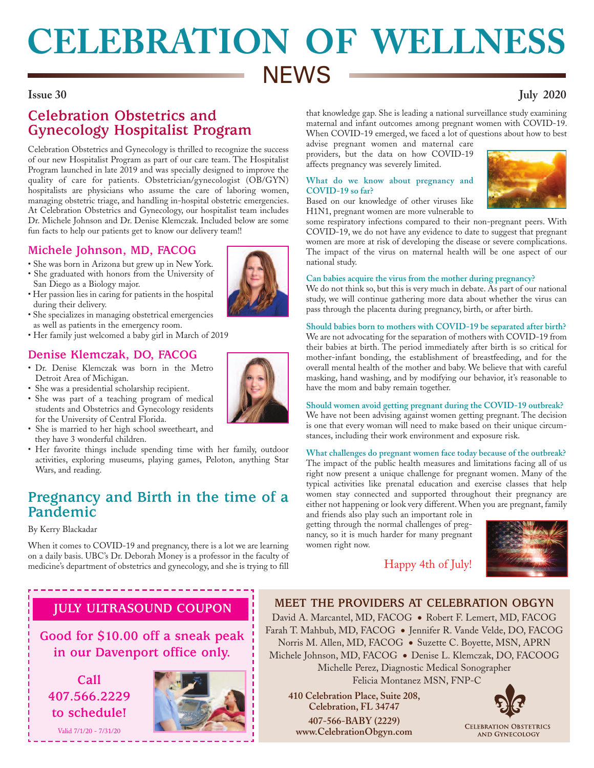# **CELEBRATION OF WELLNESS NEWS**

## **Issue 30 July 2020**

## **Celebration Obstetrics and Gynecology Hospitalist Program**

Celebration Obstetrics and Gynecology is thrilled to recognize the success of our new Hospitalist Program as part of our care team. The Hospitalist Program launched in late 2019 and was specially designed to improve the quality of care for patients. Obstetrician/gynecologist (OB/GYN) hospitalists are physicians who assume the care of laboring women, managing obstetric triage, and handling in-hospital obstetric emergencies. At Celebration Obstetrics and Gynecology, our hospitalist team includes Dr. Michele Johnson and Dr. Denise Klemczak. Included below are some fun facts to help our patients get to know our delivery team!!

## **Michele Johnson, MD, FACOG**

- She was born in Arizona but grew up in New York.
- She graduated with honors from the University of San Diego as a Biology major.
- Her passion lies in caring for patients in the hospital during their delivery.
- She specializes in managing obstetrical emergencies as well as patients in the emergency room.
- Her family just welcomed a baby girl in March of 2019

## **Denise Klemczak, DO, FACOG**

- Dr. Denise Klemczak was born in the Metro Detroit Area of Michigan.
- She was a presidential scholarship recipient.
- She was part of a teaching program of medical students and Obstetrics and Gynecology residents for the University of Central Florida.
- She is married to her high school sweetheart, and they have 3 wonderful children.
- Her favorite things include spending time with her family, outdoor • activities, exploring museums, playing games, Peloton, anything Star Wars, and reading.

## **Pregnancy and Birth in the time of a Pandemic**

### By Kerry Blackadar

When it comes to COVID-19 and pregnancy, there is a lot we are learning on a daily basis. UBC's Dr. Deborah Money is a professor in the faculty of medicine's department of obstetrics and gynecology, and she is trying to fill

## **JULY ULTRASOUND COUPON**

**Good for \$10.00 off a sneak peak in our Davenport office only.**

**Call 407.566.2229 to schedule!**

Valid 7/1/20 - 7/31/20



that knowledge gap. She is leading a national surveillance study examining maternal and infant outcomes among pregnant women with COVID-19. When COVID-19 emerged, we faced a lot of questions about how to best

advise pregnant women and maternal care providers, but the data on how COVID-19 affects pregnancy was severely limited.

### **What do we know about pregnancy and COVID-19 so far?**

Based on our knowledge of other viruses like H1N1, pregnant women are more vulnerable to

some respiratory infections compared to their non-pregnant peers. With COVID-19, we do not have any evidence to date to suggest that pregnant women are more at risk of developing the disease or severe complications. The impact of the virus on maternal health will be one aspect of our national study.

### **Can babies acquire the virus from the mother during pregnancy?**

We do not think so, but this is very much in debate. As part of our national study, we will continue gathering more data about whether the virus can pass through the placenta during pregnancy, birth, or after birth.

### **Should babies born to mothers with COVID-19 be separated after birth?**

We are not advocating for the separation of mothers with COVID-19 from their babies at birth. The period immediately after birth is so critical for mother-infant bonding, the establishment of breastfeeding, and for the overall mental health of the mother and baby. We believe that with careful masking, hand washing, and by modifying our behavior, it's reasonable to have the mom and baby remain together.

### **Should women avoid getting pregnant during the COVID-19 outbreak?** We have not been advising against women getting pregnant. The decision is one that every woman will need to make based on their unique circumstances, including their work environment and exposure risk.

**What challenges do pregnant women face today because of the outbreak?** The impact of the public health measures and limitations facing all of us right now present a unique challenge for pregnant women. Many of the typical activities like prenatal education and exercise classes that help women stay connected and supported throughout their pregnancy are either not happening or look very different. When you are pregnant, family

and friends also play such an important role in getting through the normal challenges of pregnancy, so it is much harder for many pregnant women right now.



## Happy 4th of July!



### **MEET THE PROVIDERS AT CELEBRATION OBGYN** David A. Marcantel, MD, FACOG ● Robert F. Lemert, MD, FACOG Farah T. Mahbub, MD, FACOG ● Jennifer R. Vande Velde, DO, FACOG Norris M. Allen, MD, FACOG ● Suzette C. Boyette, MSN, APRN Michele Johnson, MD, FACOG ● Denise L. Klemczak, DO, FACOOG Michelle Perez, Diagnostic Medical Sonographer Felicia Montanez MSN, FNP-C

**410 Celebration Place, Suite 208, Celebration, FL 34747 407-566-BABY (2229) www.CelebrationObgyn.com**



**CELEBRATION OBSTETRICS** AND GYNECOLOGY